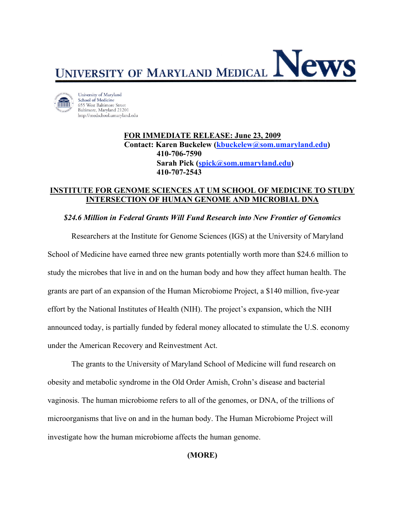

University of Maryland School of Medicine 655 West Baltimore Street Baltimore, Maryland 21201 http://medschool.umaryland.edu

> **FOR IMMEDIATE RELEASE: June 23, 2009 Contact: Karen Buckelew (kbuckelew@som.umaryland.edu) 410-706-7590 Sarah Pick (spick@som.umaryland.edu) 410-707-2543**

## **INSTITUTE FOR GENOME SCIENCES AT UM SCHOOL OF MEDICINE TO STUDY INTERSECTION OF HUMAN GENOME AND MICROBIAL DNA**

## *\$24.6 Million in Federal Grants Will Fund Research into New Frontier of Genomics*

Researchers at the Institute for Genome Sciences (IGS) at the University of Maryland School of Medicine have earned three new grants potentially worth more than \$24.6 million to study the microbes that live in and on the human body and how they affect human health. The grants are part of an expansion of the Human Microbiome Project, a \$140 million, five-year effort by the National Institutes of Health (NIH). The project's expansion, which the NIH announced today, is partially funded by federal money allocated to stimulate the U.S. economy under the American Recovery and Reinvestment Act.

The grants to the University of Maryland School of Medicine will fund research on obesity and metabolic syndrome in the Old Order Amish, Crohn's disease and bacterial vaginosis. The human microbiome refers to all of the genomes, or DNA, of the trillions of microorganisms that live on and in the human body. The Human Microbiome Project will investigate how the human microbiome affects the human genome.

# **(MORE)**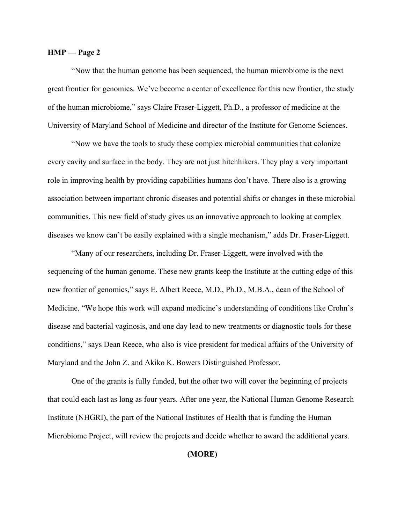#### **HMP — Page 2**

"Now that the human genome has been sequenced, the human microbiome is the next great frontier for genomics. We've become a center of excellence for this new frontier, the study of the human microbiome," says Claire Fraser-Liggett, Ph.D., a professor of medicine at the University of Maryland School of Medicine and director of the Institute for Genome Sciences.

"Now we have the tools to study these complex microbial communities that colonize every cavity and surface in the body. They are not just hitchhikers. They play a very important role in improving health by providing capabilities humans don't have. There also is a growing association between important chronic diseases and potential shifts or changes in these microbial communities. This new field of study gives us an innovative approach to looking at complex diseases we know can't be easily explained with a single mechanism," adds Dr. Fraser-Liggett.

"Many of our researchers, including Dr. Fraser-Liggett, were involved with the sequencing of the human genome. These new grants keep the Institute at the cutting edge of this new frontier of genomics," says E. Albert Reece, M.D., Ph.D., M.B.A., dean of the School of Medicine. "We hope this work will expand medicine's understanding of conditions like Crohn's disease and bacterial vaginosis, and one day lead to new treatments or diagnostic tools for these conditions," says Dean Reece, who also is vice president for medical affairs of the University of Maryland and the John Z. and Akiko K. Bowers Distinguished Professor.

One of the grants is fully funded, but the other two will cover the beginning of projects that could each last as long as four years. After one year, the National Human Genome Research Institute (NHGRI), the part of the National Institutes of Health that is funding the Human Microbiome Project, will review the projects and decide whether to award the additional years.

## **(MORE)**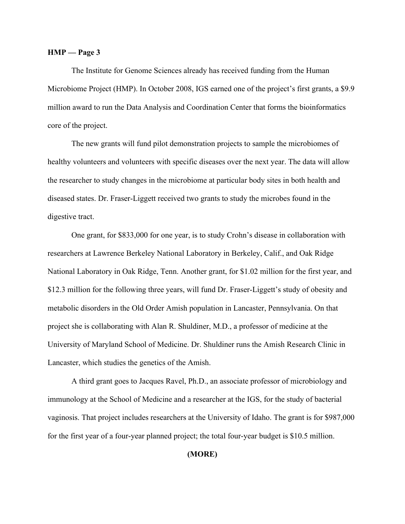#### **HMP — Page 3**

The Institute for Genome Sciences already has received funding from the Human Microbiome Project (HMP). In October 2008, IGS earned one of the project's first grants, a \$9.9 million award to run the Data Analysis and Coordination Center that forms the bioinformatics core of the project.

The new grants will fund pilot demonstration projects to sample the microbiomes of healthy volunteers and volunteers with specific diseases over the next year. The data will allow the researcher to study changes in the microbiome at particular body sites in both health and diseased states. Dr. Fraser-Liggett received two grants to study the microbes found in the digestive tract.

One grant, for \$833,000 for one year, is to study Crohn's disease in collaboration with researchers at Lawrence Berkeley National Laboratory in Berkeley, Calif., and Oak Ridge National Laboratory in Oak Ridge, Tenn. Another grant, for \$1.02 million for the first year, and \$12.3 million for the following three years, will fund Dr. Fraser-Liggett's study of obesity and metabolic disorders in the Old Order Amish population in Lancaster, Pennsylvania. On that project she is collaborating with Alan R. Shuldiner, M.D., a professor of medicine at the University of Maryland School of Medicine. Dr. Shuldiner runs the Amish Research Clinic in Lancaster, which studies the genetics of the Amish.

A third grant goes to Jacques Ravel, Ph.D., an associate professor of microbiology and immunology at the School of Medicine and a researcher at the IGS, for the study of bacterial vaginosis. That project includes researchers at the University of Idaho. The grant is for \$987,000 for the first year of a four-year planned project; the total four-year budget is \$10.5 million.

### **(MORE)**